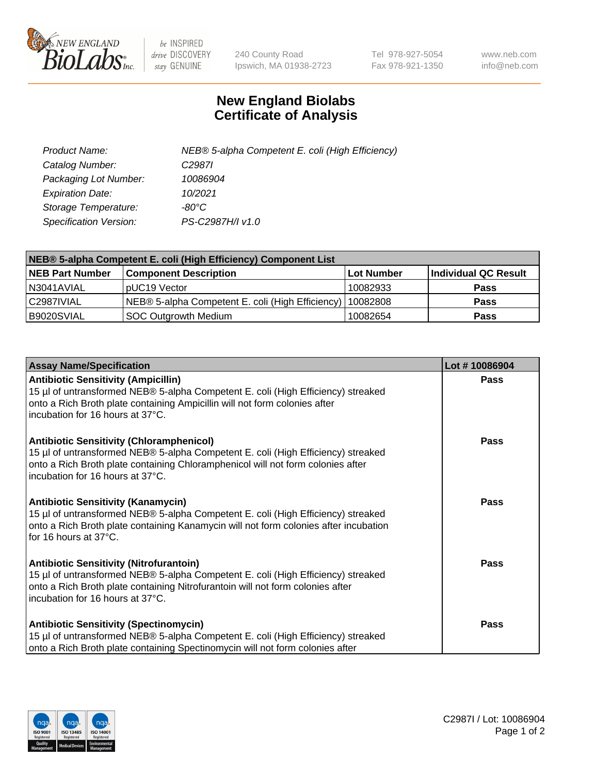

 $be$  INSPIRED drive DISCOVERY stay GENUINE

240 County Road Ipswich, MA 01938-2723 Tel 978-927-5054 Fax 978-921-1350 www.neb.com info@neb.com

## **New England Biolabs Certificate of Analysis**

| Product Name:           | NEB® 5-alpha Competent E. coli (High Efficiency) |
|-------------------------|--------------------------------------------------|
| Catalog Number:         | C <sub>2987</sub>                                |
| Packaging Lot Number:   | 10086904                                         |
| <b>Expiration Date:</b> | 10/2021                                          |
| Storage Temperature:    | -80°C                                            |
| Specification Version:  | PS-C2987H/I v1.0                                 |

| NEB® 5-alpha Competent E. coli (High Efficiency) Component List |                                                  |            |                      |  |
|-----------------------------------------------------------------|--------------------------------------------------|------------|----------------------|--|
| <b>NEB Part Number</b>                                          | <b>Component Description</b>                     | Lot Number | Individual QC Result |  |
| N3041AVIAL                                                      | pUC19 Vector                                     | 10082933   | <b>Pass</b>          |  |
| C2987IVIAL                                                      | NEB® 5-alpha Competent E. coli (High Efficiency) | 10082808   | <b>Pass</b>          |  |
| B9020SVIAL                                                      | SOC Outgrowth Medium                             | 10082654   | <b>Pass</b>          |  |

| <b>Assay Name/Specification</b>                                                                                                                                                                                                                            | Lot #10086904 |
|------------------------------------------------------------------------------------------------------------------------------------------------------------------------------------------------------------------------------------------------------------|---------------|
| <b>Antibiotic Sensitivity (Ampicillin)</b><br>15 µl of untransformed NEB® 5-alpha Competent E. coli (High Efficiency) streaked<br>onto a Rich Broth plate containing Ampicillin will not form colonies after<br>incubation for 16 hours at 37°C.           | Pass          |
| <b>Antibiotic Sensitivity (Chloramphenicol)</b><br>15 µl of untransformed NEB® 5-alpha Competent E. coli (High Efficiency) streaked<br>onto a Rich Broth plate containing Chloramphenicol will not form colonies after<br>incubation for 16 hours at 37°C. | Pass          |
| <b>Antibiotic Sensitivity (Kanamycin)</b><br>15 µl of untransformed NEB® 5-alpha Competent E. coli (High Efficiency) streaked<br>onto a Rich Broth plate containing Kanamycin will not form colonies after incubation<br>for 16 hours at 37°C.             | Pass          |
| <b>Antibiotic Sensitivity (Nitrofurantoin)</b><br>15 µl of untransformed NEB® 5-alpha Competent E. coli (High Efficiency) streaked<br>onto a Rich Broth plate containing Nitrofurantoin will not form colonies after<br>incubation for 16 hours at 37°C.   | <b>Pass</b>   |
| <b>Antibiotic Sensitivity (Spectinomycin)</b><br>15 µl of untransformed NEB® 5-alpha Competent E. coli (High Efficiency) streaked<br>onto a Rich Broth plate containing Spectinomycin will not form colonies after                                         | Pass          |